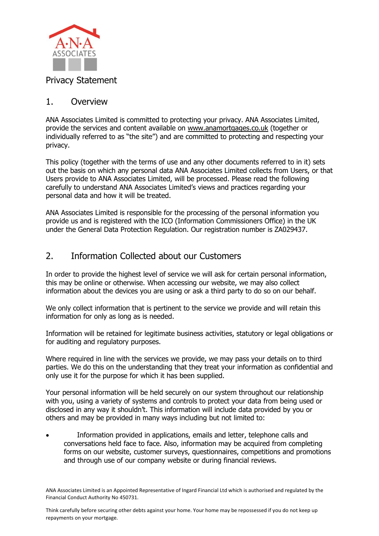

## Privacy Statement

## 1. Overview

ANA Associates Limited is committed to protecting your privacy. ANA Associates Limited, provide the services and content available on [www.anamortgages.co.uk](http://www.anamortgages.co.uk/) (together or individually referred to as "the site") and are committed to protecting and respecting your privacy.

This policy (together with the terms of use and any other documents referred to in it) sets out the basis on which any personal data ANA Associates Limited collects from Users, or that Users provide to ANA Associates Limited, will be processed. Please read the following carefully to understand ANA Associates Limited's views and practices regarding your personal data and how it will be treated.

ANA Associates Limited is responsible for the processing of the personal information you provide us and is registered with the ICO (Information Commissioners Office) in the UK under the General Data Protection Regulation. Our registration number is ZA029437.

## 2. Information Collected about our Customers

In order to provide the highest level of service we will ask for certain personal information, this may be online or otherwise. When accessing our website, we may also collect information about the devices you are using or ask a third party to do so on our behalf.

We only collect information that is pertinent to the service we provide and will retain this information for only as long as is needed.

Information will be retained for legitimate business activities, statutory or legal obligations or for auditing and regulatory purposes.

Where required in line with the services we provide, we may pass your details on to third parties. We do this on the understanding that they treat your information as confidential and only use it for the purpose for which it has been supplied.

Your personal information will be held securely on our system throughout our relationship with you, using a variety of systems and controls to protect your data from being used or disclosed in any way it shouldn't. This information will include data provided by you or others and may be provided in many ways including but not limited to:

Information provided in applications, emails and letter, telephone calls and conversations held face to face. Also, information may be acquired from completing forms on our website, customer surveys, questionnaires, competitions and promotions and through use of our company website or during financial reviews.

ANA Associates Limited is an Appointed Representative of Ingard Financial Ltd which is authorised and regulated by the Financial Conduct Authority No 450731.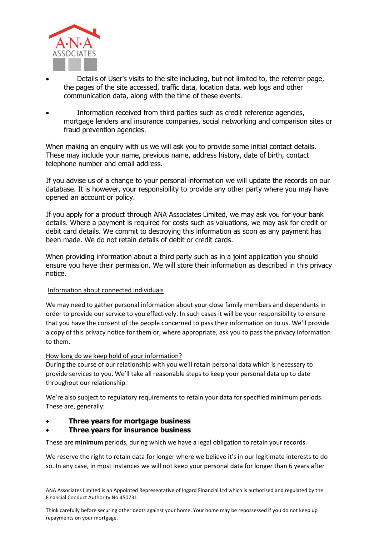

- Details of User's visits to the site including, but not limited to, the referrer page, the pages of the site accessed, traffic data, location data, web logs and other communication data, along with the time of these events.
- Information received from third parties such as credit reference agencies, mortgage lenders and insurance companies, social networking and comparison sites or fraud prevention agencies.

When making an enquiry with us we will ask you to provide some initial contact details. These may include your name, previous name, address history, date of birth, contact telephone number and email address.

If you advise us of a change to your personal information we will update the records on our database. It is however, your responsibility to provide any other party where you may have opened an account or policy.

If you apply for a product through ANA Associates Limited, we may ask you for your bank details. Where a payment is required for costs such as valuations, we may ask for credit or debit card details. We commit to destroying this information as soon as any payment has been made. We do not retain details of debit or credit cards.

When providing information about a third party such as in a joint application you should ensure you have their permission. We will store their information as described in this privacy notice.

#### Information about connected individuals

We may need to gather personal information about your close family members and dependants in order to provide our service to you effectively. In such cases it will be your responsibility to ensure that you have the consent of the people concerned to pass their information on to us. We'll provide a copy of this privacy notice for them or, where appropriate, ask you to pass the privacy information to them.

#### How long do we keep hold of your information?

During the course of our relationship with you we'll retain personal data which is necessary to provide services to you. We'll take all reasonable steps to keep your personal data up to date throughout our relationship.

We're also subject to regulatory requirements to retain your data for specified minimum periods. These are, generally:

• **Three years for mortgage business**

#### • **Three years for insurance business**

These are **minimum** periods, during which we have a legal obligation to retain your records.

We reserve the right to retain data for longer where we believe it's in our legitimate interests to do so. In any case, in most instances we will not keep your personal data for longer than 6 years after

ANA Associates Limited is an Appointed Representative of Ingard Financial Ltd which is authorised and regulated by the Financial Conduct Authority No 450731.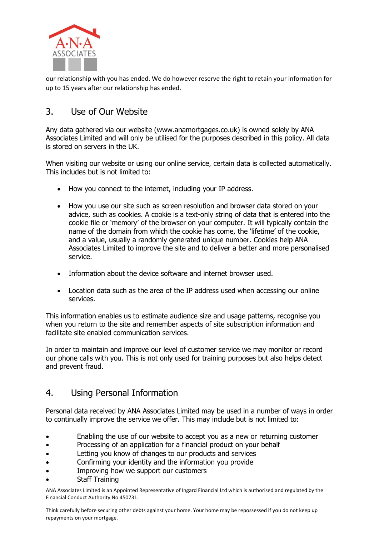

our relationship with you has ended. We do however reserve the right to retain your information for up to 15 years after our relationship has ended.

# 3. Use of Our Website

Any data gathered via our website [\(www.anamortgages.co.uk\)](http://www.anamortgages.co.uk/) is owned solely by ANA Associates Limited and will only be utilised for the purposes described in this policy. All data is stored on servers in the UK.

When visiting our website or using our online service, certain data is collected automatically. This includes but is not limited to:

- How you connect to the internet, including your IP address.
- How you use our site such as screen resolution and browser data stored on your advice, such as cookies. A cookie is a text-only string of data that is entered into the cookie file or 'memory' of the browser on your computer. It will typically contain the name of the domain from which the cookie has come, the 'lifetime' of the cookie, and a value, usually a randomly generated unique number. Cookies help ANA Associates Limited to improve the site and to deliver a better and more personalised service.
- Information about the device software and internet browser used.
- Location data such as the area of the IP address used when accessing our online services.

This information enables us to estimate audience size and usage patterns, recognise you when you return to the site and remember aspects of site subscription information and facilitate site enabled communication services.

In order to maintain and improve our level of customer service we may monitor or record our phone calls with you. This is not only used for training purposes but also helps detect and prevent fraud.

# 4. Using Personal Information

Personal data received by ANA Associates Limited may be used in a number of ways in order to continually improve the service we offer. This may include but is not limited to:

- Enabling the use of our website to accept you as a new or returning customer
- Processing of an application for a financial product on your behalf
- Letting you know of changes to our products and services
- Confirming your identity and the information you provide
- Improving how we support our customers
- Staff Training

ANA Associates Limited is an Appointed Representative of Ingard Financial Ltd which is authorised and regulated by the Financial Conduct Authority No 450731.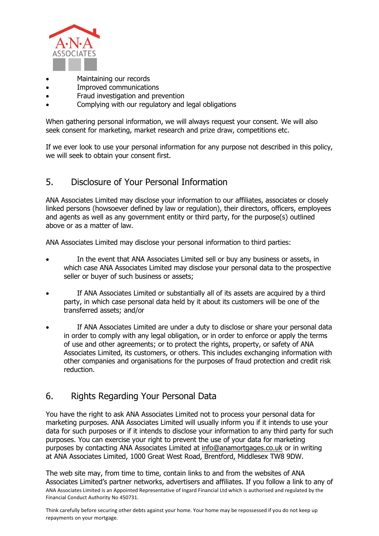

- Maintaining our records
- Improved communications
- Fraud investigation and prevention
- Complying with our regulatory and legal obligations

When gathering personal information, we will always request your consent. We will also seek consent for marketing, market research and prize draw, competitions etc.

If we ever look to use your personal information for any purpose not described in this policy, we will seek to obtain your consent first.

# 5. Disclosure of Your Personal Information

ANA Associates Limited may disclose your information to our affiliates, associates or closely linked persons (howsoever defined by law or regulation), their directors, officers, employees and agents as well as any government entity or third party, for the purpose(s) outlined above or as a matter of law.

ANA Associates Limited may disclose your personal information to third parties:

- In the event that ANA Associates Limited sell or buy any business or assets, in which case ANA Associates Limited may disclose your personal data to the prospective seller or buyer of such business or assets;
- If ANA Associates Limited or substantially all of its assets are acquired by a third party, in which case personal data held by it about its customers will be one of the transferred assets; and/or
- If ANA Associates Limited are under a duty to disclose or share your personal data in order to comply with any legal obligation, or in order to enforce or apply the terms of use and other agreements; or to protect the rights, property, or safety of ANA Associates Limited, its customers, or others. This includes exchanging information with other companies and organisations for the purposes of fraud protection and credit risk reduction.

## 6. Rights Regarding Your Personal Data

You have the right to ask ANA Associates Limited not to process your personal data for marketing purposes. ANA Associates Limited will usually inform you if it intends to use your data for such purposes or if it intends to disclose your information to any third party for such purposes. You can exercise your right to prevent the use of your data for marketing purposes by contacting ANA Associates Limited at [info@anamortgages.co.uk](mailto:info@anamortgages.co.uk) or in writing at ANA Associates Limited, 1000 Great West Road, Brentford, Middlesex TW8 9DW.

ANA Associates Limited is an Appointed Representative of Ingard Financial Ltd which is authorised and regulated by the Financial Conduct Authority No 450731. The web site may, from time to time, contain links to and from the websites of ANA Associates Limited's partner networks, advertisers and affiliates. If you follow a link to any of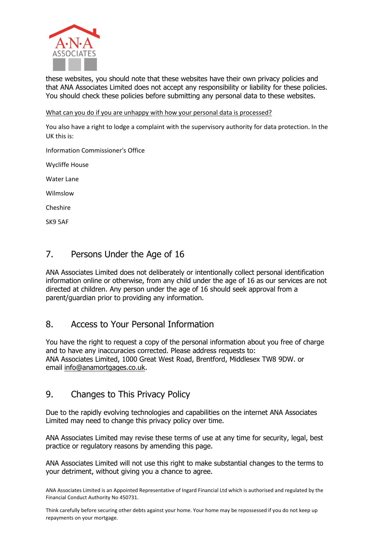

these websites, you should note that these websites have their own privacy policies and that ANA Associates Limited does not accept any responsibility or liability for these policies. You should check these policies before submitting any personal data to these websites.

What can you do if you are unhappy with how your personal data is processed?

You also have a right to lodge a complaint with the supervisory authority for data protection. In the UK this is:

Information Commissioner's Office

Wycliffe House

Water Lane

Wilmslow

Cheshire

SK9 5AF

## 7. Persons Under the Age of 16

ANA Associates Limited does not deliberately or intentionally collect personal identification information online or otherwise, from any child under the age of 16 as our services are not directed at children. Any person under the age of 16 should seek approval from a parent/guardian prior to providing any information.

### 8. Access to Your Personal Information

You have the right to request a copy of the personal information about you free of charge and to have any inaccuracies corrected. Please address requests to: ANA Associates Limited, 1000 Great West Road, Brentford, Middlesex TW8 9DW. or email [info@anamortgages.co.uk.](mailto:info@anamortgages.co.uk)

### 9. Changes to This Privacy Policy

Due to the rapidly evolving technologies and capabilities on the internet ANA Associates Limited may need to change this privacy policy over time.

ANA Associates Limited may revise these terms of use at any time for security, legal, best practice or regulatory reasons by amending this page.

ANA Associates Limited will not use this right to make substantial changes to the terms to your detriment, without giving you a chance to agree.

ANA Associates Limited is an Appointed Representative of Ingard Financial Ltd which is authorised and regulated by the Financial Conduct Authority No 450731.